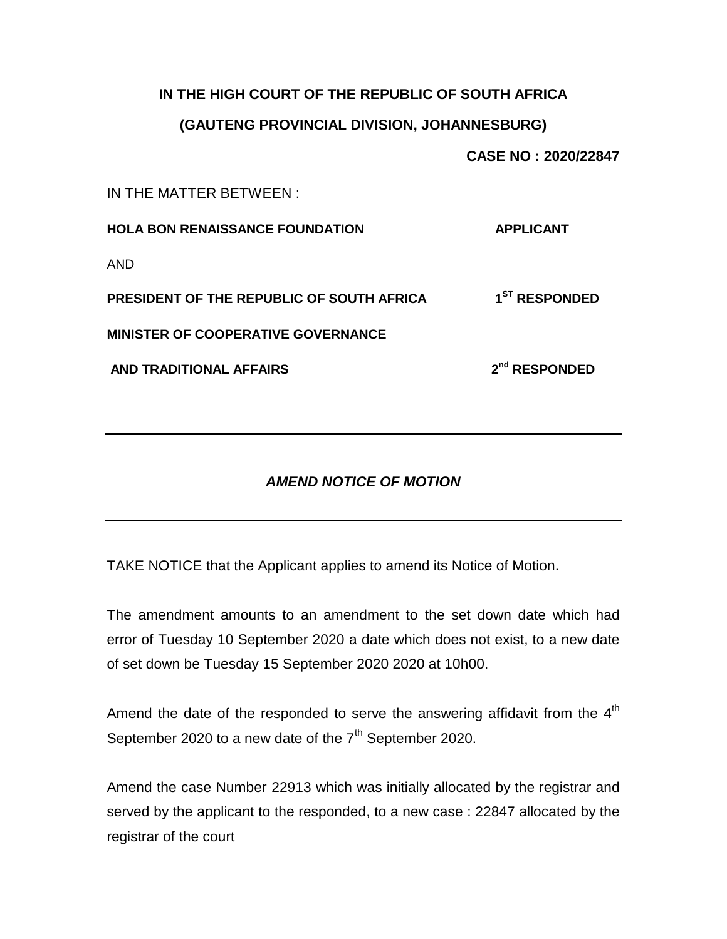#### **IN THE HIGH COURT OF THE REPUBLIC OF SOUTH AFRICA**

### **(GAUTENG PROVINCIAL DIVISION, JOHANNESBURG)**

**CASE NO : 2020/22847**

IN THE MATTER BETWEEN :

| <b>HOLA BON RENAISSANCE FOUNDATION</b>    | <b>APPLICANT</b>          |
|-------------------------------------------|---------------------------|
| AND                                       |                           |
| PRESIDENT OF THE REPUBLIC OF SOUTH AFRICA | 1 <sup>ST</sup> RESPONDED |
| <b>MINISTER OF COOPERATIVE GOVERNANCE</b> |                           |
| AND TRADITIONAL AFFAIRS                   | $2nd$ RESPONDED           |
|                                           |                           |

# *AMEND NOTICE OF MOTION*

TAKE NOTICE that the Applicant applies to amend its Notice of Motion.

The amendment amounts to an amendment to the set down date which had error of Tuesday 10 September 2020 a date which does not exist, to a new date of set down be Tuesday 15 September 2020 2020 at 10h00.

Amend the date of the responded to serve the answering affidavit from the  $4<sup>th</sup>$ September 2020 to a new date of the  $7<sup>th</sup>$  September 2020.

Amend the case Number 22913 which was initially allocated by the registrar and served by the applicant to the responded, to a new case : 22847 allocated by the registrar of the court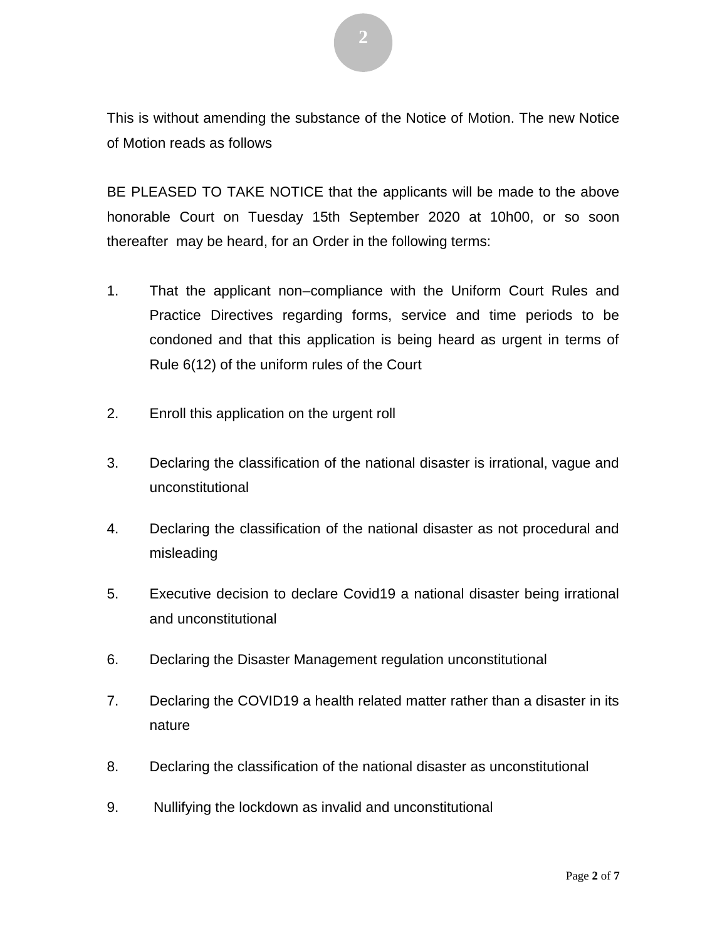This is without amending the substance of the Notice of Motion. The new Notice of Motion reads as follows

BE PLEASED TO TAKE NOTICE that the applicants will be made to the above honorable Court on Tuesday 15th September 2020 at 10h00, or so soon thereafter may be heard, for an Order in the following terms:

- 1. That the applicant non–compliance with the Uniform Court Rules and Practice Directives regarding forms, service and time periods to be condoned and that this application is being heard as urgent in terms of Rule 6(12) of the uniform rules of the Court
- 2. Enroll this application on the urgent roll
- 3. Declaring the classification of the national disaster is irrational, vague and unconstitutional
- 4. Declaring the classification of the national disaster as not procedural and misleading
- 5. Executive decision to declare Covid19 a national disaster being irrational and unconstitutional
- 6. Declaring the Disaster Management regulation unconstitutional
- 7. Declaring the COVID19 a health related matter rather than a disaster in its nature
- 8. Declaring the classification of the national disaster as unconstitutional
- 9. Nullifying the lockdown as invalid and unconstitutional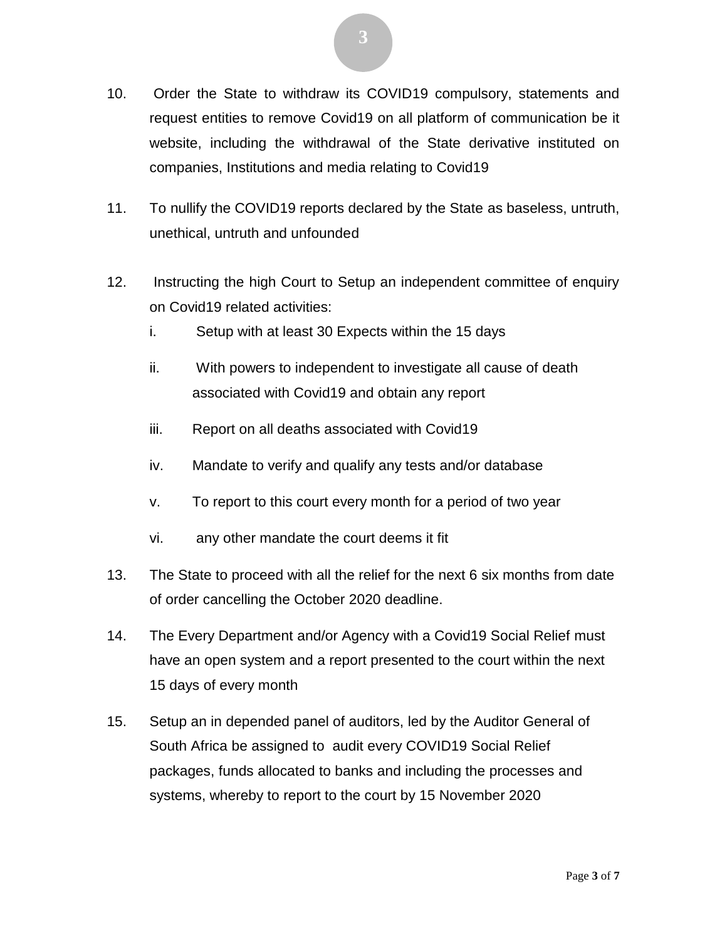- 10. Order the State to withdraw its COVID19 compulsory, statements and request entities to remove Covid19 on all platform of communication be it website, including the withdrawal of the State derivative instituted on companies, Institutions and media relating to Covid19
- 11. To nullify the COVID19 reports declared by the State as baseless, untruth, unethical, untruth and unfounded
- 12. Instructing the high Court to Setup an independent committee of enquiry on Covid19 related activities:
	- i. Setup with at least 30 Expects within the 15 days
	- ii. With powers to independent to investigate all cause of death associated with Covid19 and obtain any report
	- iii. Report on all deaths associated with Covid19
	- iv. Mandate to verify and qualify any tests and/or database
	- v. To report to this court every month for a period of two year
	- vi. any other mandate the court deems it fit
- 13. The State to proceed with all the relief for the next 6 six months from date of order cancelling the October 2020 deadline.
- 14. The Every Department and/or Agency with a Covid19 Social Relief must have an open system and a report presented to the court within the next 15 days of every month
- 15. Setup an in depended panel of auditors, led by the Auditor General of South Africa be assigned to audit every COVID19 Social Relief packages, funds allocated to banks and including the processes and systems, whereby to report to the court by 15 November 2020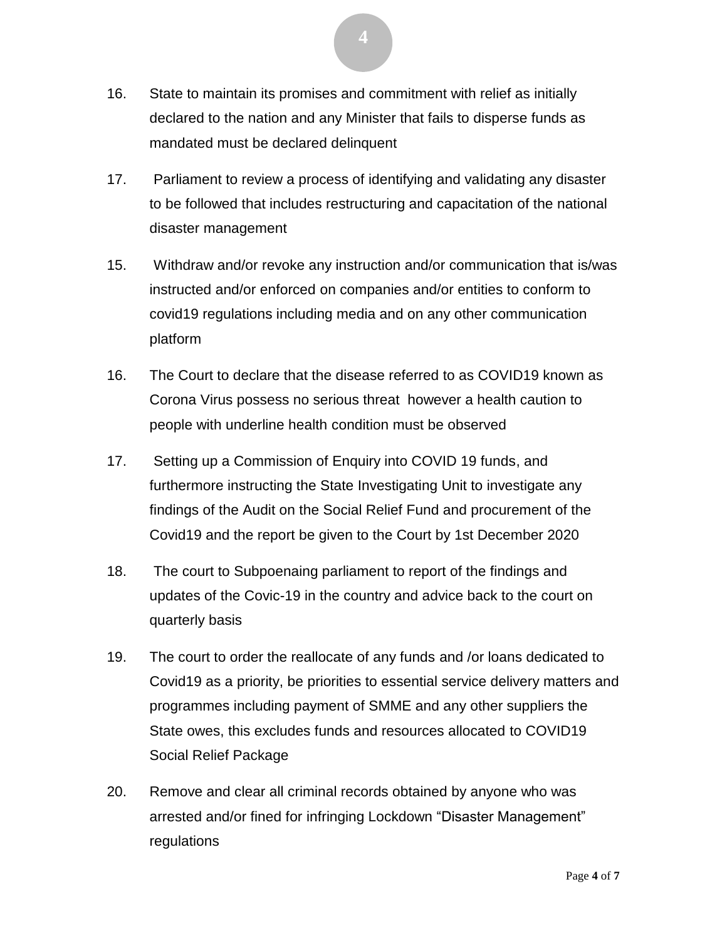- 16. State to maintain its promises and commitment with relief as initially declared to the nation and any Minister that fails to disperse funds as mandated must be declared delinquent
- 17. Parliament to review a process of identifying and validating any disaster to be followed that includes restructuring and capacitation of the national disaster management
- 15. Withdraw and/or revoke any instruction and/or communication that is/was instructed and/or enforced on companies and/or entities to conform to covid19 regulations including media and on any other communication platform
- 16. The Court to declare that the disease referred to as COVID19 known as Corona Virus possess no serious threat however a health caution to people with underline health condition must be observed
- 17. Setting up a Commission of Enquiry into COVID 19 funds, and furthermore instructing the State Investigating Unit to investigate any findings of the Audit on the Social Relief Fund and procurement of the Covid19 and the report be given to the Court by 1st December 2020
- 18. The court to Subpoenaing parliament to report of the findings and updates of the Covic-19 in the country and advice back to the court on quarterly basis
- 19. The court to order the reallocate of any funds and /or loans dedicated to Covid19 as a priority, be priorities to essential service delivery matters and programmes including payment of SMME and any other suppliers the State owes, this excludes funds and resources allocated to COVID19 Social Relief Package
- 20. Remove and clear all criminal records obtained by anyone who was arrested and/or fined for infringing Lockdown "Disaster Management" regulations

**4**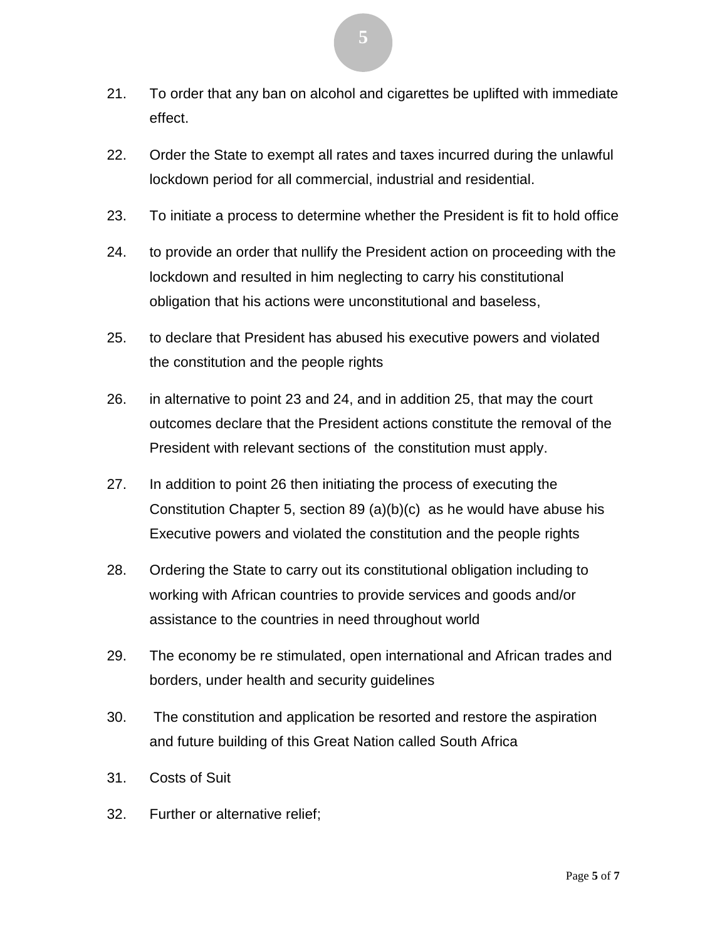- 21. To order that any ban on alcohol and cigarettes be uplifted with immediate effect.
- 22. Order the State to exempt all rates and taxes incurred during the unlawful lockdown period for all commercial, industrial and residential.
- 23. To initiate a process to determine whether the President is fit to hold office
- 24. to provide an order that nullify the President action on proceeding with the lockdown and resulted in him neglecting to carry his constitutional obligation that his actions were unconstitutional and baseless,
- 25. to declare that President has abused his executive powers and violated the constitution and the people rights
- 26. in alternative to point 23 and 24, and in addition 25, that may the court outcomes declare that the President actions constitute the removal of the President with relevant sections of the constitution must apply.
- 27. In addition to point 26 then initiating the process of executing the Constitution Chapter 5, section 89 (a)(b)(c) as he would have abuse his Executive powers and violated the constitution and the people rights
- 28. Ordering the State to carry out its constitutional obligation including to working with African countries to provide services and goods and/or assistance to the countries in need throughout world
- 29. The economy be re stimulated, open international and African trades and borders, under health and security guidelines
- 30. The constitution and application be resorted and restore the aspiration and future building of this Great Nation called South Africa
- 31. Costs of Suit
- 32. Further or alternative relief;

**5**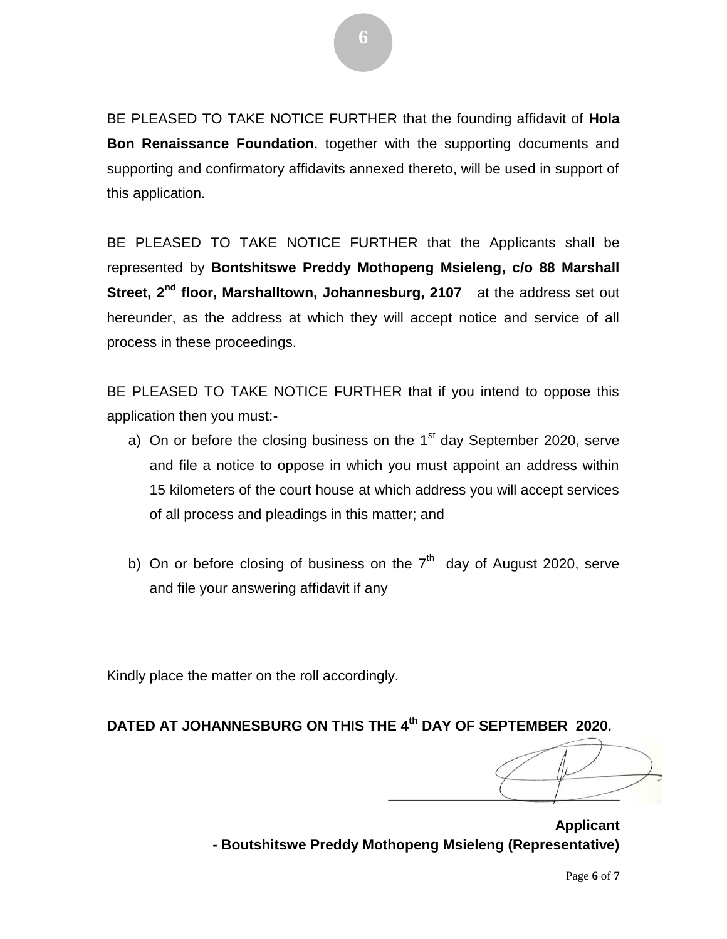BE PLEASED TO TAKE NOTICE FURTHER that the founding affidavit of **Hola Bon Renaissance Foundation**, together with the supporting documents and supporting and confirmatory affidavits annexed thereto, will be used in support of this application.

BE PLEASED TO TAKE NOTICE FURTHER that the Applicants shall be represented by **Bontshitswe Preddy Mothopeng Msieleng, c/o 88 Marshall Street, 2nd floor, Marshalltown, Johannesburg, 2107** at the address set out hereunder, as the address at which they will accept notice and service of all process in these proceedings.

BE PLEASED TO TAKE NOTICE FURTHER that if you intend to oppose this application then you must:-

- a) On or before the closing business on the 1<sup>st</sup> day September 2020, serve and file a notice to oppose in which you must appoint an address within 15 kilometers of the court house at which address you will accept services of all process and pleadings in this matter; and
- b) On or before closing of business on the  $7<sup>th</sup>$  day of August 2020, serve and file your answering affidavit if any

Kindly place the matter on the roll accordingly.

# **DATED AT JOHANNESBURG ON THIS THE 4 th DAY OF SEPTEMBER 2020.**

**\_\_\_\_\_\_\_\_\_\_\_\_\_\_\_\_\_\_\_\_\_\_\_\_\_\_\_\_\_**

**Applicant - Boutshitswe Preddy Mothopeng Msieleng (Representative)**